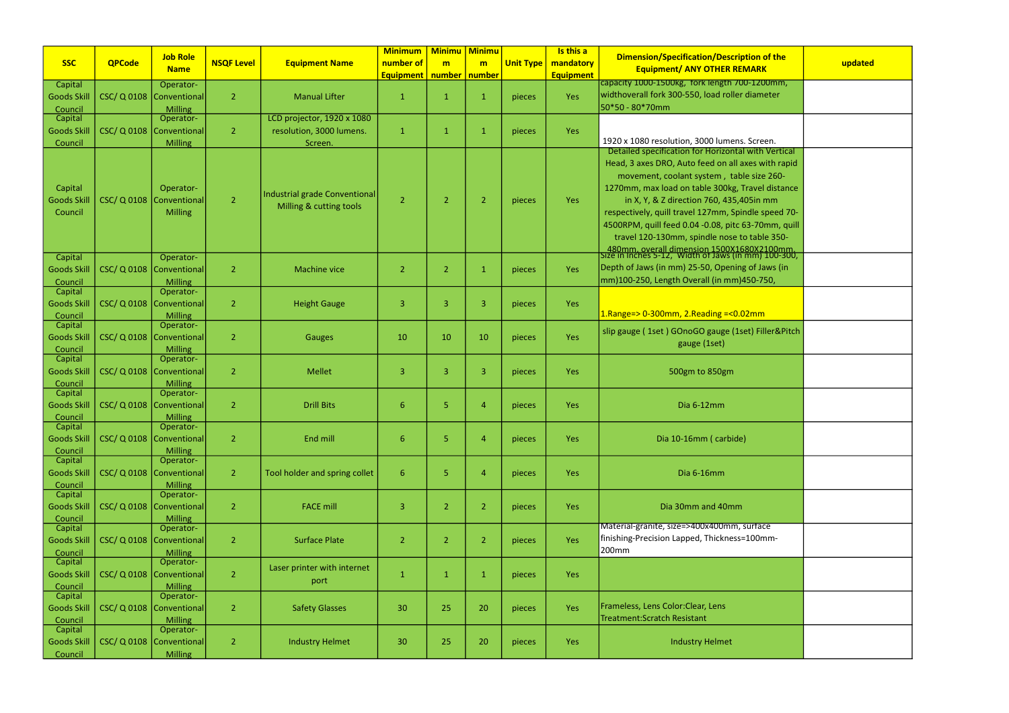|                              |                  |                             |                   |                               | <b>Minimum</b>              | <b>Minimu Minimu</b> |                |                  | Is this a        |                                                                                                    |         |
|------------------------------|------------------|-----------------------------|-------------------|-------------------------------|-----------------------------|----------------------|----------------|------------------|------------------|----------------------------------------------------------------------------------------------------|---------|
| <b>SSC</b>                   | <b>QPCode</b>    | <b>Job Role</b>             | <b>NSQF Level</b> | <b>Equipment Name</b>         | number of                   | m                    | m              | <b>Unit Type</b> | mandatory        | Dimension/Specification/Description of the                                                         | updated |
|                              |                  | <b>Name</b>                 |                   |                               | Equipment   number   number |                      |                |                  | <b>Equipment</b> | <b>Equipment/ ANY OTHER REMARK</b>                                                                 |         |
| Capital                      |                  | Operator-                   |                   |                               |                             |                      |                |                  |                  | capacity 1000-1500kg, fork length 700-1200mm,                                                      |         |
| <b>Goods Skil</b>            |                  | CSC/Q 0108   Conventional   | $\overline{2}$    | <b>Manual Lifter</b>          | -1                          | $\mathbf 1$          | 1              | pieces           | Yes              | widthoverall fork 300-550, load roller diameter                                                    |         |
| Council                      |                  | Milling                     |                   |                               |                             |                      |                |                  |                  | 50*50 - 80*70mm                                                                                    |         |
| Capital                      |                  | Operator-                   |                   | LCD projector, 1920 x 1080    |                             |                      |                |                  |                  |                                                                                                    |         |
| <b>Goods Skil</b>            |                  | CSC/ Q 0108   Conventional  | $\overline{2}$    | resolution, 3000 lumens.      | $\overline{1}$              | -1                   | 1              | pieces           | Yes              | 1920 x 1080 resolution, 3000 lumens. Screen.                                                       |         |
| Council                      |                  | Milling                     |                   | Screen.                       |                             |                      |                |                  |                  | Detailed specification for Horizontal with Vertical                                                |         |
|                              |                  |                             |                   |                               |                             |                      |                |                  |                  | Head, 3 axes DRO, Auto feed on all axes with rapid                                                 |         |
|                              |                  |                             |                   |                               |                             |                      |                |                  |                  | movement, coolant system, table size 260-                                                          |         |
| Capital                      |                  | Operator-                   |                   |                               |                             |                      |                |                  |                  | 1270mm, max load on table 300kg, Travel distance                                                   |         |
| <b>Goods Skil</b>            |                  | CSC/ Q 0108 Conventional    | $\overline{2}$    | Industrial grade Conventional | $\overline{2}$              | $\overline{2}$       | $\overline{2}$ |                  | Yes              |                                                                                                    |         |
| Council                      |                  | Milling                     |                   | Milling & cutting tools       |                             |                      |                | pieces           |                  | in X, Y, & Z direction 760, 435,405in mm                                                           |         |
|                              |                  |                             |                   |                               |                             |                      |                |                  |                  | respectively, quill travel 127mm, Spindle speed 70-                                                |         |
|                              |                  |                             |                   |                               |                             |                      |                |                  |                  | 4500RPM, quill feed 0.04 -0.08, pitc 63-70mm, quill                                                |         |
|                              |                  |                             |                   |                               |                             |                      |                |                  |                  | travel 120-130mm, spindle nose to table 350-                                                       |         |
| Capital                      |                  | Operator-                   |                   |                               |                             |                      |                |                  |                  | 480mm, overall dimension 1500X1680X2100mm,<br>[size in Inches 5-12, Width of Jaws (in mm) 100-300, |         |
| <b>Goods Skil</b>            |                  | CSC/ Q 0108   Conventional  | $\overline{2}$    | <b>Machine vice</b>           | 2                           | $\overline{2}$       | 1              | pieces           | Yes              | Depth of Jaws (in mm) 25-50, Opening of Jaws (in                                                   |         |
| Council                      |                  | Milling                     |                   |                               |                             |                      |                |                  |                  | mm)100-250, Length Overall (in mm)450-750,                                                         |         |
| Capital                      |                  | Operator-                   |                   |                               |                             |                      |                |                  |                  |                                                                                                    |         |
| <b>Goods Skil</b>            |                  | CSC/ Q 0108   Conventional  | $\overline{2}$    | <b>Height Gauge</b>           | 3                           | $\overline{3}$       | 3              | pieces           | Yes              |                                                                                                    |         |
| Council                      |                  | <b>Milling</b>              |                   |                               |                             |                      |                |                  |                  | $1.$ Range=> 0-300mm, 2.Reading =< 0.02mm                                                          |         |
| Capital                      |                  | Operator-                   |                   |                               |                             |                      |                |                  |                  | slip gauge (1set) GOnoGO gauge (1set) Filler&Pitch                                                 |         |
| <b>Goods Skil</b>            |                  | CSC/Q 0108   Conventional   | $\overline{2}$    | Gauges                        | 10                          | 10                   | 10             | pieces           | Yes              |                                                                                                    |         |
| Council                      |                  | Milling                     |                   |                               |                             |                      |                |                  |                  | gauge (1set)                                                                                       |         |
| Capital                      |                  | Operator-                   |                   |                               |                             |                      |                |                  |                  |                                                                                                    |         |
| <b>Goods Skill</b>           |                  | CSC/ Q 0108   Conventional  | $\overline{2}$    | <b>Mellet</b>                 | 3                           | 3                    | 3              | pieces           | Yes              | 500gm to 850gm                                                                                     |         |
| Council                      |                  | <b>Milling</b>              |                   |                               |                             |                      |                |                  |                  |                                                                                                    |         |
| Capital                      |                  | Operator-                   |                   |                               |                             |                      |                |                  |                  |                                                                                                    |         |
| <b>Goods Skil</b>            |                  | CSC/ Q 0108   Conventional  | $\overline{2}$    | <b>Drill Bits</b>             | 6                           | 5                    | 4              | pieces           | Yes              | Dia 6-12mm                                                                                         |         |
| Council                      |                  | Milling<br>Operator-        |                   |                               |                             |                      |                |                  |                  |                                                                                                    |         |
| Capital<br><b>Goods Skil</b> | <b>CSC/Q0108</b> | <b>Conventional</b>         | $\overline{2}$    | End mill                      | 6                           | $\overline{5}$       | $\overline{4}$ |                  | Yes              | Dia 10-16mm (carbide)                                                                              |         |
|                              |                  | <b>Milling</b>              |                   |                               |                             |                      |                | pieces           |                  |                                                                                                    |         |
| Council<br>Capital           |                  | Operator-                   |                   |                               |                             |                      |                |                  |                  |                                                                                                    |         |
| <b>Goods Skill</b>           |                  | CSC/ Q 0108   Conventional  | $\overline{2}$    | Tool holder and spring collet | $6\phantom{1}$              | $\overline{5}$       | $\overline{4}$ | pieces           | Yes              | Dia 6-16mm                                                                                         |         |
| Council                      |                  | Milling                     |                   |                               |                             |                      |                |                  |                  |                                                                                                    |         |
| Capital                      |                  | Operator-                   |                   |                               |                             |                      |                |                  |                  |                                                                                                    |         |
| <b>Goods Skil</b>            |                  | CSC/ Q 0108   Conventional  | $\overline{2}$    | <b>FACE mill</b>              | 3                           | $\overline{2}$       | $\overline{2}$ | pieces           | Yes              | Dia 30mm and 40mm                                                                                  |         |
| Council                      |                  | Milling                     |                   |                               |                             |                      |                |                  |                  |                                                                                                    |         |
| Capital                      |                  | Operator-                   |                   |                               |                             |                      |                |                  |                  | Material-granite, size=>400x400mm, surface                                                         |         |
| <b>Goods Skil</b>            |                  | CSC/ Q 0108   Conventional  | $\overline{2}$    | <b>Surface Plate</b>          | $\overline{2}$              | $\overline{2}$       | $\overline{2}$ | pieces           | Yes              | finishing-Precision Lapped, Thickness=100mm-                                                       |         |
| Council                      |                  | <b>Milling</b>              |                   |                               |                             |                      |                |                  |                  | 200mm                                                                                              |         |
| Capital                      |                  | Operator-                   |                   | Laser printer with internet   |                             |                      |                |                  |                  |                                                                                                    |         |
| <b>Goods Skill</b>           |                  | CSC/ Q 0108   Conventional  | $\overline{2}$    | port                          | $\mathbf{1}$                | $\mathbf{1}$         | $\mathbf{1}$   | pieces           | Yes              |                                                                                                    |         |
| Council                      |                  | <b>Milling</b>              |                   |                               |                             |                      |                |                  |                  |                                                                                                    |         |
| Capital                      |                  | Operator-                   |                   |                               |                             |                      |                |                  |                  | Frameless, Lens Color: Clear, Lens                                                                 |         |
| <b>Goods Skil</b>            |                  | CSC/ Q 0108   Conventional  | $\overline{2}$    | <b>Safety Glasses</b>         | 30                          | 25                   | 20             | pieces           | Yes              | Treatment: Scratch Resistant                                                                       |         |
| Council<br>Capital           |                  | <b>Milling</b><br>Operator- |                   |                               |                             |                      |                |                  |                  |                                                                                                    |         |
| <b>Goods Skil</b>            |                  | CSC/ Q 0108 Conventional    | $\overline{2}$    | <b>Industry Helmet</b>        | 30                          | 25                   | 20             | pieces           | Yes              | <b>Industry Helmet</b>                                                                             |         |
|                              |                  |                             |                   |                               |                             |                      |                |                  |                  |                                                                                                    |         |
| Council                      |                  | Milling                     |                   |                               |                             |                      |                |                  |                  |                                                                                                    |         |

| of the<br>K                              | updated |
|------------------------------------------|---------|
| <mark>ງ0mm,</mark><br>eter               |         |
|                                          |         |
| en.<br>l Vertical                        |         |
| vith rapid<br>$e$ 260-                   |         |
| I distance                               |         |
| mm<br>speed 70-                          |         |
| mm, quill<br>le 350-                     |         |
| 100mm<br>100-300,                        |         |
| aws (in<br>'50,                          |         |
|                                          |         |
| ï<br>ller&Pitch                          |         |
|                                          |         |
|                                          |         |
|                                          |         |
|                                          |         |
|                                          |         |
|                                          |         |
| $\overline{\overline{\text{ce}}}$<br>nm- |         |
|                                          |         |
|                                          |         |
|                                          |         |
|                                          |         |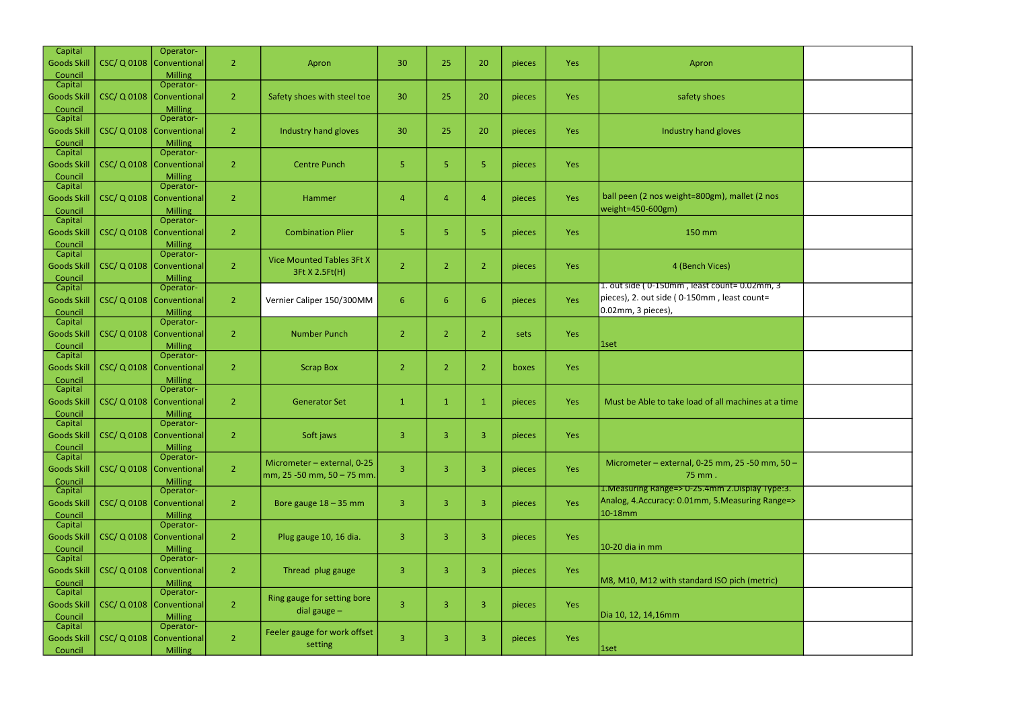| Capital            |           | Operator-                   |                |                                  |                |                |                  |        |            |                                                     |
|--------------------|-----------|-----------------------------|----------------|----------------------------------|----------------|----------------|------------------|--------|------------|-----------------------------------------------------|
| <b>Goods Skill</b> | CSC/Q0108 | Conventional                | $\overline{2}$ | Apron                            | 30             | 25             | 20               | pieces | <b>Yes</b> | Apron                                               |
| Council            |           | <b>Milling</b>              |                |                                  |                |                |                  |        |            |                                                     |
| Capital            |           | Operator-                   |                |                                  |                |                |                  |        |            |                                                     |
| <b>Goods Skill</b> | CSC/Q0108 | Conventional                | $\overline{2}$ | Safety shoes with steel toe      | 30             | 25             | 20               | pieces | Yes        | safety shoes                                        |
| Council            |           | <b>Milling</b>              |                |                                  |                |                |                  |        |            |                                                     |
| Capital            |           | Operator-                   |                |                                  |                |                |                  |        |            |                                                     |
| <b>Goods Skill</b> | CSC/Q0108 | Conventional                | $\overline{2}$ | Industry hand gloves             | 30             | 25             | 20               | pieces | Yes        | Industry hand gloves                                |
| Council<br>Capital |           | <b>Milling</b><br>Operator- |                |                                  |                |                |                  |        |            |                                                     |
|                    | CSC/Q0108 | Conventional                | $\overline{2}$ | <b>Centre Punch</b>              | 5              | 5              | 5                |        |            |                                                     |
| <b>Goods Skill</b> |           |                             |                |                                  |                |                |                  | pieces | Yes        |                                                     |
| Council<br>Capital |           | <b>Milling</b><br>Operator- |                |                                  |                |                |                  |        |            |                                                     |
| <b>Goods Skill</b> | CSC/Q0108 | Conventional                | $\overline{2}$ | Hammer                           | 4              | 4              | $\overline{4}$   | pieces | Yes        | ball peen (2 nos weight=800gm), mallet (2 nos       |
| Council            |           | <b>Milling</b>              |                |                                  |                |                |                  |        |            | weight=450-600gm)                                   |
| Capital            |           | Operator-                   |                |                                  |                |                |                  |        |            |                                                     |
| <b>Goods Skill</b> | CSC/Q0108 | Conventional                | $\overline{2}$ | <b>Combination Plier</b>         | 5              | 5              | 5                | pieces | Yes        | 150 mm                                              |
| Council            |           | <b>Milling</b>              |                |                                  |                |                |                  |        |            |                                                     |
| Capital            |           | Operator-                   |                |                                  |                |                |                  |        |            |                                                     |
| <b>Goods Skill</b> | CSC/Q0108 | Conventional                | $\overline{2}$ | <b>Vice Mounted Tables 3Ft X</b> | $\overline{2}$ | $\overline{2}$ | $\overline{2}$   | pieces | Yes        | 4 (Bench Vices)                                     |
| Council            |           | <b>Milling</b>              |                | 3Ft X 2.5Ft(H)                   |                |                |                  |        |            |                                                     |
| Capital            |           | Operator-                   |                |                                  |                |                |                  |        |            | 1. out side (0-150mm, least count=0.02mm, 3         |
| <b>Goods Skill</b> | CSC/Q0108 | Conventional                | $\overline{2}$ | Vernier Caliper 150/300MM        | 6              | 6              | $\boldsymbol{6}$ | pieces | Yes        | pieces), 2. out side (0-150mm, least count=         |
| Council            |           | <b>Milling</b>              |                |                                  |                |                |                  |        |            | 0.02mm, 3 pieces),                                  |
| Capital            |           | Operator-                   |                |                                  |                |                |                  |        |            |                                                     |
| <b>Goods Skill</b> | CSC/Q0108 | Conventional                | $\overline{2}$ | <b>Number Punch</b>              | $\overline{2}$ | $\overline{2}$ | $\overline{2}$   | sets   | Yes        |                                                     |
| Council            |           | <b>Milling</b>              |                |                                  |                |                |                  |        |            | 1set                                                |
| Capital            |           | Operator-                   |                |                                  |                |                |                  |        |            |                                                     |
| <b>Goods Skill</b> | CSC/Q0108 | Conventional                | $\overline{2}$ | <b>Scrap Box</b>                 | $\overline{2}$ | $\overline{2}$ | $\overline{2}$   | boxes  | <b>Yes</b> |                                                     |
| Council            |           | <b>Milling</b>              |                |                                  |                |                |                  |        |            |                                                     |
| Capital            |           | Operator-                   |                |                                  |                |                |                  |        |            |                                                     |
| <b>Goods Skill</b> | CSC/Q0108 | Conventional                | $\overline{2}$ | <b>Generator Set</b>             | $\mathbf{1}$   | $\mathbf{1}$   | $\mathbf{1}$     | pieces | Yes        | Must be Able to take load of all machines at a time |
| Council            |           | <b>Milling</b>              |                |                                  |                |                |                  |        |            |                                                     |
| <b>Capital</b>     |           | Operator-                   |                |                                  |                |                |                  |        |            |                                                     |
| <b>Goods Skill</b> | CSC/Q0108 | Conventional                | $\overline{2}$ | Soft jaws                        | 3              | 3              | 3                | pieces | Yes        |                                                     |
| Council            |           | <b>Milling</b>              |                |                                  |                |                |                  |        |            |                                                     |
| Capital            |           | Operator-                   |                | Micrometer - external, 0-25      |                |                |                  |        |            | Micrometer - external, 0-25 mm, 25 -50 mm, 50 -     |
| <b>Goods Skill</b> | CSC/Q0108 | Conventional                | $\overline{2}$ | mm, 25 -50 mm, 50 - 75 mm.       | 3              | 3              | 3                | pieces | Yes        | 75 mm.                                              |
| Council<br>Capital |           | <b>Milling</b><br>Operator- |                |                                  |                |                |                  |        |            | 1. Measuring Range=> 0-25.4mm 2. Display Type:3.    |
| <b>Goods Skill</b> | CSC/Q0108 | Conventional                | $\overline{2}$ | Bore gauge 18 - 35 mm            | 3              | 3              | 3                | pieces | Yes        | Analog, 4.Accuracy: 0.01mm, 5.Measuring Range=>     |
|                    |           | <b>Milling</b>              |                |                                  |                |                |                  |        |            | 10-18mm                                             |
| Council<br>Capital |           | Operator-                   |                |                                  |                |                |                  |        |            |                                                     |
| <b>Goods Skill</b> | CSC/Q0108 | <b>Conventional</b>         | $\overline{2}$ | Plug gauge 10, 16 dia.           | 3              | 3              | 3                | pieces | Yes        |                                                     |
| Council            |           | <b>Milling</b>              |                |                                  |                |                |                  |        |            | 10-20 dia in mm                                     |
| Capital            |           | Operator-                   |                |                                  |                |                |                  |        |            |                                                     |
| <b>Goods Skill</b> | CSC/Q0108 | Conventional                | $\overline{2}$ | Thread plug gauge                | 3              | 3              | 3                | pieces | Yes        |                                                     |
| Council            |           | <b>Milling</b>              |                |                                  |                |                |                  |        |            | M8, M10, M12 with standard ISO pich (metric)        |
| Capital            |           | Operator-                   |                |                                  |                |                |                  |        |            |                                                     |
| <b>Goods Skill</b> | CSC/Q0108 | Conventional                | $\overline{2}$ | Ring gauge for setting bore      | $\overline{3}$ | 3              | 3                | pieces | Yes        |                                                     |
| Council            |           | <b>Milling</b>              |                | dial gauge $-$                   |                |                |                  |        |            | Dia 10, 12, 14,16mm                                 |
| Capital            |           | Operator-                   |                | Feeler gauge for work offset     |                |                |                  |        |            |                                                     |
| <b>Goods Skill</b> | CSC/Q0108 | Conventional                | $\overline{2}$ |                                  | 3              | 3              | 3                | pieces | Yes        |                                                     |
| Council            |           | <b>Milling</b>              |                | setting                          |                |                |                  |        |            | 1set                                                |

| nos                                                     |  |
|---------------------------------------------------------|--|
|                                                         |  |
|                                                         |  |
| $\overline{\mathsf{m}}, \overline{\mathsf{3}}$<br>$t =$ |  |
|                                                         |  |
|                                                         |  |
| at a time                                               |  |
|                                                         |  |
| mm, 50 –                                                |  |
| Туре:3.<br>Range=>                                      |  |
|                                                         |  |
| tric)                                                   |  |
|                                                         |  |
|                                                         |  |